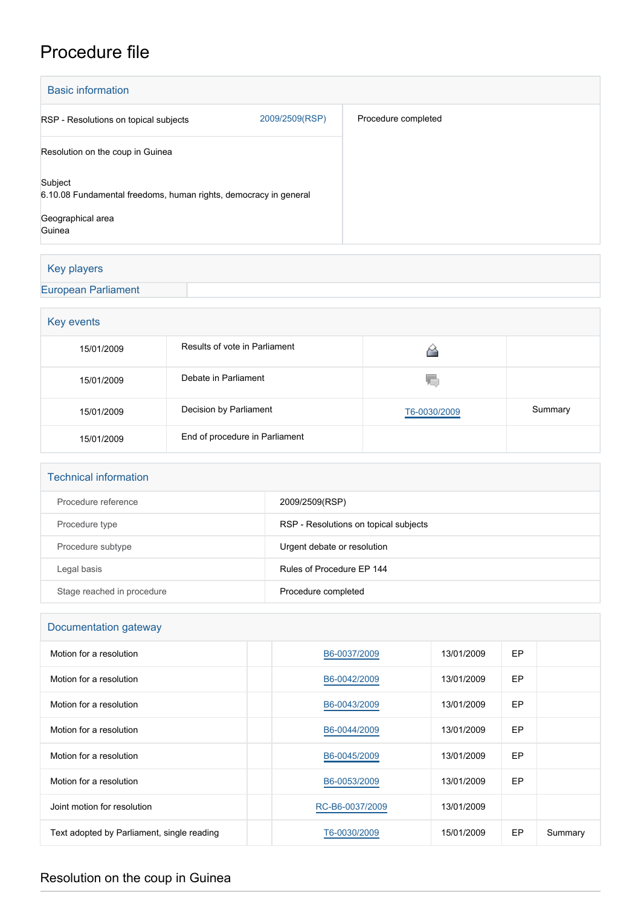## Procedure file

| <b>Basic information</b>                                                    |                |                     |  |  |  |
|-----------------------------------------------------------------------------|----------------|---------------------|--|--|--|
| RSP - Resolutions on topical subjects                                       | 2009/2509(RSP) | Procedure completed |  |  |  |
| Resolution on the coup in Guinea                                            |                |                     |  |  |  |
| Subject<br>6.10.08 Fundamental freedoms, human rights, democracy in general |                |                     |  |  |  |
| Geographical area<br>Guinea                                                 |                |                     |  |  |  |

## Key players

## [European Parliament](http://www.europarl.europa.eu/)

| Key events |                                |              |         |  |  |  |
|------------|--------------------------------|--------------|---------|--|--|--|
| 15/01/2009 | Results of vote in Parliament  |              |         |  |  |  |
| 15/01/2009 | Debate in Parliament           | Y.           |         |  |  |  |
| 15/01/2009 | Decision by Parliament         | T6-0030/2009 | Summary |  |  |  |
| 15/01/2009 | End of procedure in Parliament |              |         |  |  |  |

| <b>Technical information</b> |                                       |  |  |  |
|------------------------------|---------------------------------------|--|--|--|
| Procedure reference          | 2009/2509(RSP)                        |  |  |  |
| Procedure type               | RSP - Resolutions on topical subjects |  |  |  |
| Procedure subtype            | Urgent debate or resolution           |  |  |  |
| Legal basis                  | Rules of Procedure EP 144             |  |  |  |
| Stage reached in procedure   | Procedure completed                   |  |  |  |

| Documentation gateway                      |                 |            |    |         |  |  |
|--------------------------------------------|-----------------|------------|----|---------|--|--|
| Motion for a resolution                    | B6-0037/2009    | 13/01/2009 | EP |         |  |  |
| Motion for a resolution                    | B6-0042/2009    | 13/01/2009 | EP |         |  |  |
| Motion for a resolution                    | B6-0043/2009    | 13/01/2009 | EP |         |  |  |
| Motion for a resolution                    | B6-0044/2009    | 13/01/2009 | EP |         |  |  |
| Motion for a resolution                    | B6-0045/2009    | 13/01/2009 | EP |         |  |  |
| Motion for a resolution                    | B6-0053/2009    | 13/01/2009 | EP |         |  |  |
| Joint motion for resolution                | RC-B6-0037/2009 | 13/01/2009 |    |         |  |  |
| Text adopted by Parliament, single reading | T6-0030/2009    | 15/01/2009 | EP | Summary |  |  |

## Resolution on the coup in Guinea